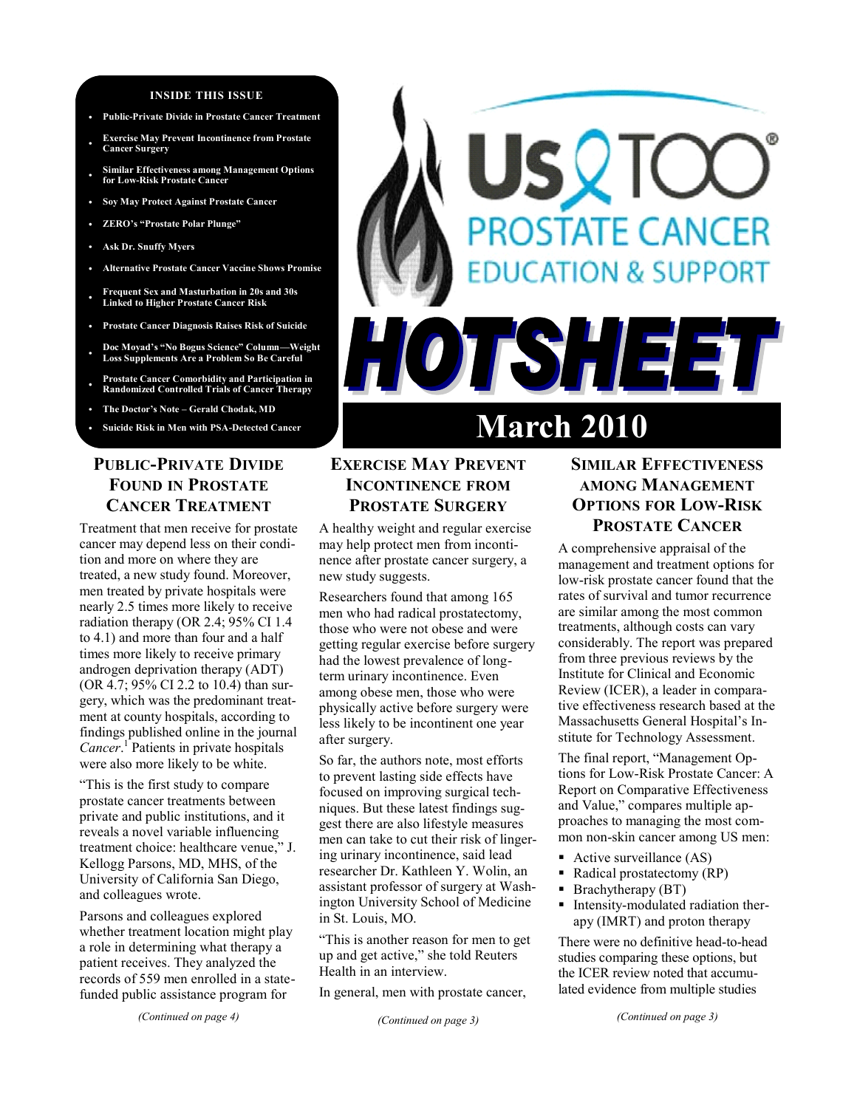#### **INSIDE THIS ISSUE**

- **Public-Private Divide in Prostate Cancer Treatment**
- **Exercise May Prevent Incontinence from Prostate Cancer Surgery**
- **Similar Effectiveness among Management Options for Low-Risk Prostate Cancer**
- **Soy May Protect Against Prostate Cancer**
- **ZERO's "Prostate Polar Plunge"**
- **Ask Dr. Snuffy Myers**
- **Alternative Prostate Cancer Vaccine Shows Promise**
- **Frequent Sex and Masturbation in 20s and 30s Linked to Higher Prostate Cancer Risk**
- **Prostate Cancer Diagnosis Raises Risk of Suicide**
- **Doc Moyad's ―No Bogus Science‖ Column—Weight Loss Supplements Are a Problem So Be Careful**
- **Prostate Cancer Comorbidity and Participation in Randomized Controlled Trials of Cancer Therapy**
- **The Doctor's Note – Gerald Chodak, MD**
- 

## **PUBLIC-PRIVATE DIVIDE FOUND IN PROSTATE CANCER TREATMENT**

Treatment that men receive for prostate cancer may depend less on their condition and more on where they are treated, a new study found. Moreover, men treated by private hospitals were nearly 2.5 times more likely to receive radiation therapy (OR 2.4; 95% CI 1.4 to 4.1) and more than four and a half times more likely to receive primary androgen deprivation therapy (ADT) (OR 4.7; 95% CI 2.2 to 10.4) than surgery, which was the predominant treatment at county hospitals, according to findings published online in the journal *Cancer*. 1 Patients in private hospitals were also more likely to be white.

"This is the first study to compare prostate cancer treatments between private and public institutions, and it reveals a novel variable influencing treatment choice: healthcare venue," J. Kellogg Parsons, MD, MHS, of the University of California San Diego, and colleagues wrote.

Parsons and colleagues explored whether treatment location might play a role in determining what therapy a patient receives. They analyzed the records of 559 men enrolled in a statefunded public assistance program for

*(Continued on page 4)*

# Suicide Risk in Men with PSA-Detected Cancer **March 2010**

HOTSHEET

SV K

**PROSTATE CANCER** 

**EDUCATION & SUPPORT** 

## **EXERCISE MAY PREVENT INCONTINENCE FROM PROSTATE SURGERY**

A healthy weight and regular exercise may help protect men from incontinence after prostate cancer surgery, a new study suggests.

Researchers found that among 165 men who had radical prostatectomy, those who were not obese and were getting regular exercise before surgery had the lowest prevalence of longterm urinary incontinence. Even among obese men, those who were physically active before surgery were less likely to be incontinent one year after surgery.

So far, the authors note, most efforts to prevent lasting side effects have focused on improving surgical techniques. But these latest findings suggest there are also lifestyle measures men can take to cut their risk of lingering urinary incontinence, said lead researcher Dr. Kathleen Y. Wolin, an assistant professor of surgery at Washington University School of Medicine in St. Louis, MO.

"This is another reason for men to get up and get active," she told Reuters Health in an interview.

In general, men with prostate cancer,

## **SIMILAR EFFECTIVENESS AMONG MANAGEMENT OPTIONS FOR LOW-RISK PROSTATE CANCER**

A comprehensive appraisal of the management and treatment options for low-risk prostate cancer found that the rates of survival and tumor recurrence are similar among the most common treatments, although costs can vary considerably. The report was prepared from three previous reviews by the Institute for Clinical and Economic Review (ICER), a leader in comparative effectiveness research based at the Massachusetts General Hospital"s Institute for Technology Assessment.

The final report, "Management Options for Low-Risk Prostate Cancer: A Report on Comparative Effectiveness and Value," compares multiple approaches to managing the most common non-skin cancer among US men:

- Active surveillance (AS)
- Radical prostatectomy (RP)
- Brachytherapy (BT)
- Intensity-modulated radiation therapy (IMRT) and proton therapy

There were no definitive head-to-head studies comparing these options, but the ICER review noted that accumulated evidence from multiple studies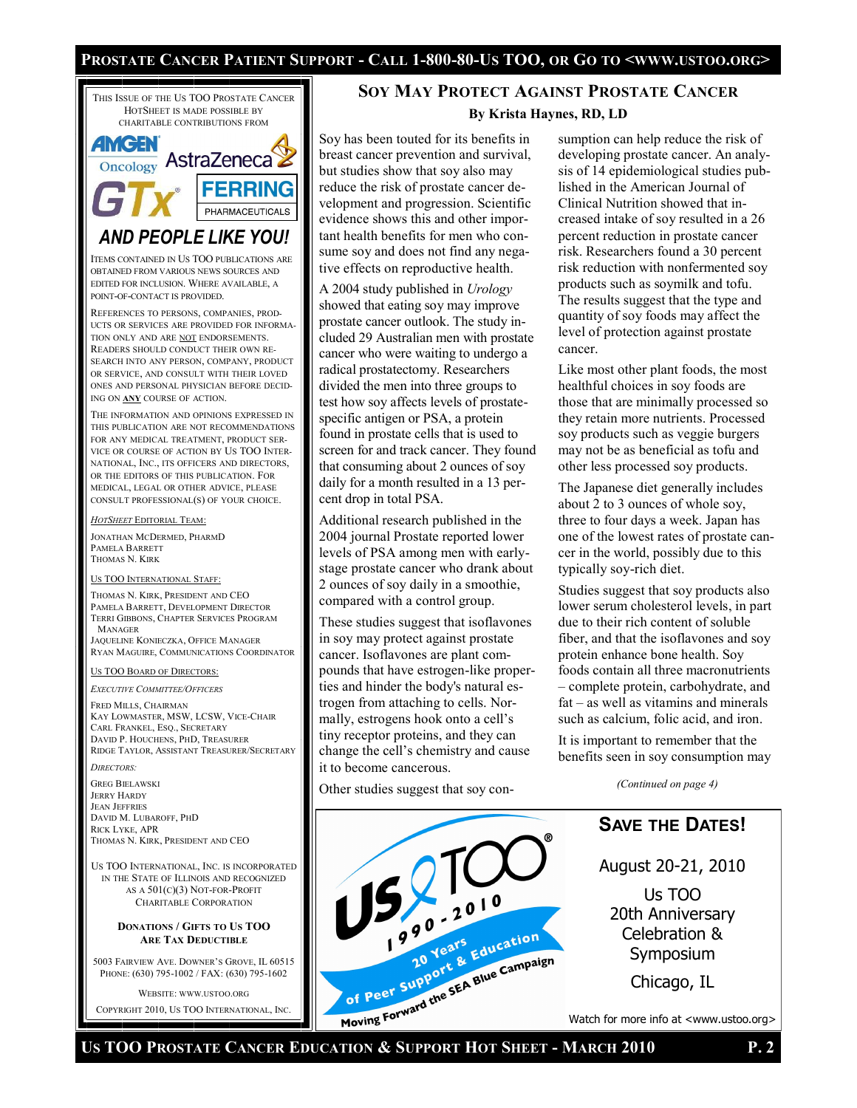#### Prostate Cancer Patient Support - Call 1-800-80-Us TOO, or Go to <www.ustoo.org>



WEBSITE: WWW.USTOO.ORG COPYRIGHT 2010, US TOO INTERNATIONAL, INC.

## **SOY MAY PROTECT AGAINST PROSTATE CANCER By Krista Haynes, RD, LD**

Soy has been touted for its benefits in breast cancer prevention and survival, but studies show that soy also may reduce the risk of prostate cancer development and progression. Scientific evidence shows this and other important health benefits for men who consume soy and does not find any negative effects on reproductive health.

A 2004 study published in *Urology* showed that eating soy may improve prostate cancer outlook. The study included 29 Australian men with prostate cancer who were waiting to undergo a radical prostatectomy. Researchers divided the men into three groups to test how soy affects levels of prostatespecific antigen or PSA, a protein found in prostate cells that is used to screen for and track cancer. They found that consuming about 2 ounces of soy daily for a month resulted in a 13 percent drop in total PSA.

Additional research published in the 2004 journal Prostate reported lower levels of PSA among men with earlystage prostate cancer who drank about 2 ounces of soy daily in a smoothie, compared with a control group.

These studies suggest that isoflavones in soy may protect against prostate cancer. Isoflavones are plant compounds that have estrogen-like properties and hinder the body's natural estrogen from attaching to cells. Normally, estrogens hook onto a cell"s tiny receptor proteins, and they can change the cell"s chemistry and cause it to become cancerous.

Other studies suggest that soy con-



sumption can help reduce the risk of developing prostate cancer. An analysis of 14 epidemiological studies published in the American Journal of Clinical Nutrition showed that increased intake of soy resulted in a 26 percent reduction in prostate cancer risk. Researchers found a 30 percent risk reduction with nonfermented soy products such as soymilk and tofu. The results suggest that the type and quantity of soy foods may affect the level of protection against prostate cancer.

Like most other plant foods, the most healthful choices in soy foods are those that are minimally processed so they retain more nutrients. Processed soy products such as veggie burgers may not be as beneficial as tofu and other less processed soy products.

The Japanese diet generally includes about 2 to 3 ounces of whole soy, three to four days a week. Japan has one of the lowest rates of prostate cancer in the world, possibly due to this typically soy-rich diet.

Studies suggest that soy products also lower serum cholesterol levels, in part due to their rich content of soluble fiber, and that the isoflavones and soy protein enhance bone health. Soy foods contain all three macronutrients – complete protein, carbohydrate, and fat – as well as vitamins and minerals such as calcium, folic acid, and iron.

It is important to remember that the benefits seen in soy consumption may

*(Continued on page 4)*

## **SAVE THE DATES!**

August 20-21, 2010

Us TOO 20th Anniversary Celebration & Symposium

Chicago, IL

Watch for more info at <www.ustoo.org>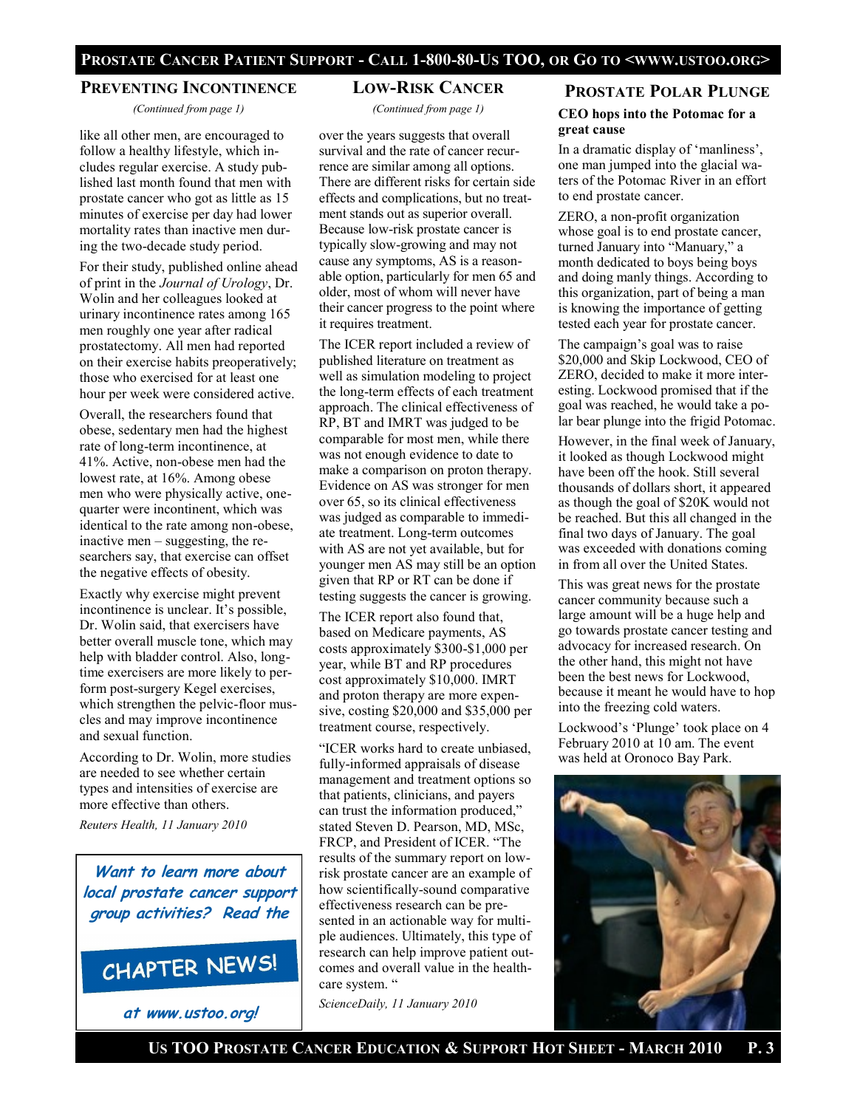#### **PREVENTING INCONTINENCE**

*(Continued from page 1)*

like all other men, are encouraged to follow a healthy lifestyle, which includes regular exercise. A study published last month found that men with prostate cancer who got as little as 15 minutes of exercise per day had lower mortality rates than inactive men during the two-decade study period.

For their study, published online ahead of print in the *Journal of Urology*, Dr. Wolin and her colleagues looked at urinary incontinence rates among 165 men roughly one year after radical prostatectomy. All men had reported on their exercise habits preoperatively; those who exercised for at least one hour per week were considered active.

Overall, the researchers found that obese, sedentary men had the highest rate of long-term incontinence, at 41%. Active, non-obese men had the lowest rate, at 16%. Among obese men who were physically active, onequarter were incontinent, which was identical to the rate among non-obese, inactive men – suggesting, the researchers say, that exercise can offset the negative effects of obesity.

Exactly why exercise might prevent incontinence is unclear. It's possible, Dr. Wolin said, that exercisers have better overall muscle tone, which may help with bladder control. Also, longtime exercisers are more likely to perform post-surgery Kegel exercises, which strengthen the pelvic-floor muscles and may improve incontinence and sexual function.

According to Dr. Wolin, more studies are needed to see whether certain types and intensities of exercise are more effective than others.

*Reuters Health, 11 January 2010*

**Want to learn more about local prostate cancer support group activities? Read the**

## CHAPTER NEWS!

**at www.ustoo.org!**

#### **LOW-RISK CANCER**

*(Continued from page 1)*

over the years suggests that overall survival and the rate of cancer recurrence are similar among all options. There are different risks for certain side effects and complications, but no treatment stands out as superior overall. Because low-risk prostate cancer is typically slow-growing and may not cause any symptoms, AS is a reasonable option, particularly for men 65 and older, most of whom will never have their cancer progress to the point where it requires treatment.

The ICER report included a review of published literature on treatment as well as simulation modeling to project the long-term effects of each treatment approach. The clinical effectiveness of RP, BT and IMRT was judged to be comparable for most men, while there was not enough evidence to date to make a comparison on proton therapy. Evidence on AS was stronger for men over 65, so its clinical effectiveness was judged as comparable to immediate treatment. Long-term outcomes with AS are not yet available, but for younger men AS may still be an option given that RP or RT can be done if testing suggests the cancer is growing.

The ICER report also found that, based on Medicare payments, AS costs approximately \$300-\$1,000 per year, while BT and RP procedures cost approximately \$10,000. IMRT and proton therapy are more expensive, costing \$20,000 and \$35,000 per treatment course, respectively.

"ICER works hard to create unbiased, fully-informed appraisals of disease management and treatment options so that patients, clinicians, and payers can trust the information produced," stated Steven D. Pearson, MD, MSc, FRCP, and President of ICER. "The results of the summary report on lowrisk prostate cancer are an example of how scientifically-sound comparative effectiveness research can be presented in an actionable way for multiple audiences. Ultimately, this type of research can help improve patient outcomes and overall value in the healthcare system. "

*ScienceDaily, 11 January 2010*

#### **PROSTATE POLAR PLUNGE**

**CEO hops into the Potomac for a great cause**

In a dramatic display of "manliness", one man jumped into the glacial waters of the Potomac River in an effort to end prostate cancer.

ZERO, a non-profit organization whose goal is to end prostate cancer, turned January into "Manuary," a month dedicated to boys being boys and doing manly things. According to this organization, part of being a man is knowing the importance of getting tested each year for prostate cancer.

The campaign"s goal was to raise \$20,000 and Skip Lockwood, CEO of ZERO, decided to make it more interesting. Lockwood promised that if the goal was reached, he would take a polar bear plunge into the frigid Potomac.

However, in the final week of January, it looked as though Lockwood might have been off the hook. Still several thousands of dollars short, it appeared as though the goal of \$20K would not be reached. But this all changed in the final two days of January. The goal was exceeded with donations coming in from all over the United States.

This was great news for the prostate cancer community because such a large amount will be a huge help and go towards prostate cancer testing and advocacy for increased research. On the other hand, this might not have been the best news for Lockwood, because it meant he would have to hop into the freezing cold waters.

Lockwood's 'Plunge' took place on 4 February 2010 at 10 am. The event was held at Oronoco Bay Park.

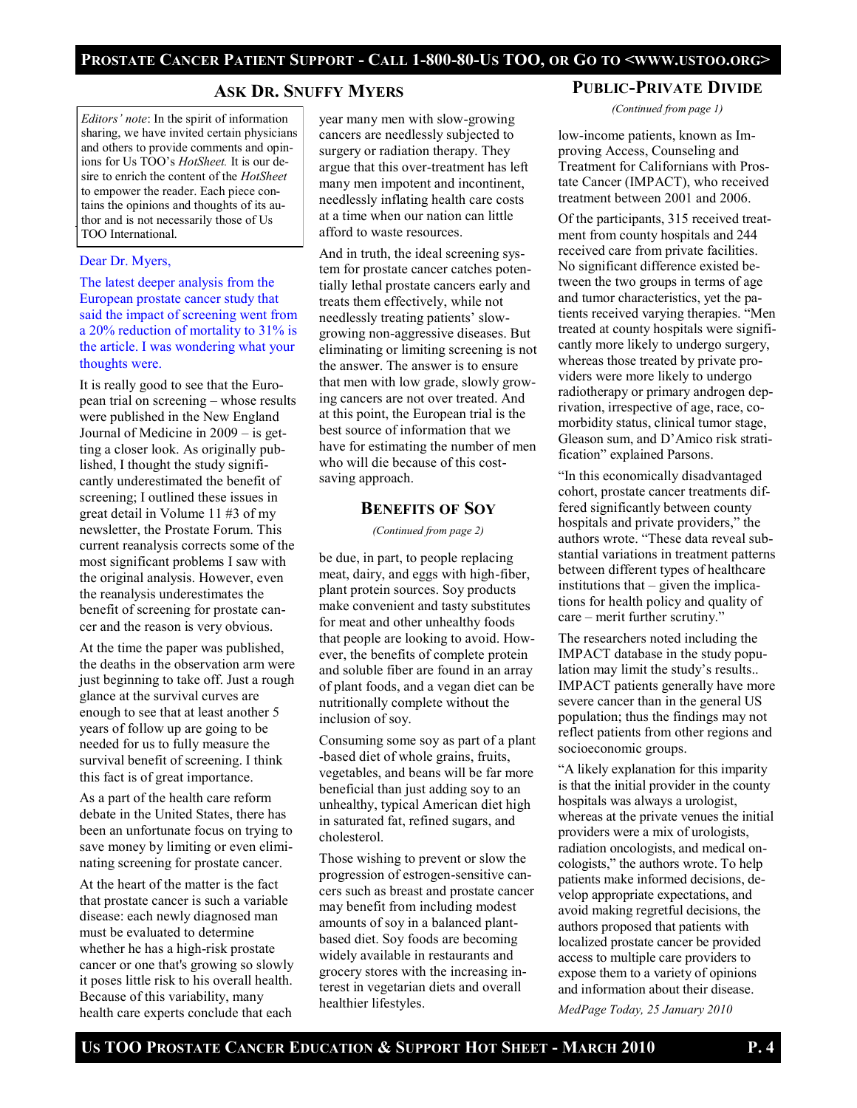## **ASK DR. SNUFFY MYERS**

*Editors' note*: In the spirit of information sharing, we have invited certain physicians and others to provide comments and opinions for Us TOO"s *HotSheet.* It is our desire to enrich the content of the *HotSheet*  to empower the reader. Each piece contains the opinions and thoughts of its author and is not necessarily those of Us TOO International.

#### Dear Dr. Myers,

The latest deeper analysis from the European prostate cancer study that said the impact of screening went from a 20% reduction of mortality to 31% is the article. I was wondering what your thoughts were.

It is really good to see that the European trial on screening – whose results were published in the New England Journal of Medicine in 2009 – is getting a closer look. As originally published, I thought the study significantly underestimated the benefit of screening; I outlined these issues in great detail in Volume 11 #3 of my newsletter, the Prostate Forum. This current reanalysis corrects some of the most significant problems I saw with the original analysis. However, even the reanalysis underestimates the benefit of screening for prostate cancer and the reason is very obvious.

At the time the paper was published, the deaths in the observation arm were just beginning to take off. Just a rough glance at the survival curves are enough to see that at least another 5 years of follow up are going to be needed for us to fully measure the survival benefit of screening. I think this fact is of great importance.

As a part of the health care reform debate in the United States, there has been an unfortunate focus on trying to save money by limiting or even eliminating screening for prostate cancer.

At the heart of the matter is the fact that prostate cancer is such a variable disease: each newly diagnosed man must be evaluated to determine whether he has a high-risk prostate cancer or one that's growing so slowly it poses little risk to his overall health. Because of this variability, many health care experts conclude that each

year many men with slow-growing cancers are needlessly subjected to surgery or radiation therapy. They argue that this over-treatment has left many men impotent and incontinent, needlessly inflating health care costs at a time when our nation can little afford to waste resources.

And in truth, the ideal screening system for prostate cancer catches potentially lethal prostate cancers early and treats them effectively, while not needlessly treating patients' slowgrowing non-aggressive diseases. But eliminating or limiting screening is not the answer. The answer is to ensure that men with low grade, slowly growing cancers are not over treated. And at this point, the European trial is the best source of information that we have for estimating the number of men who will die because of this costsaving approach.

#### **BENEFITS OF SOY**

*(Continued from page 2)*

be due, in part, to people replacing meat, dairy, and eggs with high-fiber, plant protein sources. Soy products make convenient and tasty substitutes for meat and other unhealthy foods that people are looking to avoid. However, the benefits of complete protein and soluble fiber are found in an array of plant foods, and a vegan diet can be nutritionally complete without the inclusion of soy.

Consuming some soy as part of a plant -based diet of whole grains, fruits, vegetables, and beans will be far more beneficial than just adding soy to an unhealthy, typical American diet high in saturated fat, refined sugars, and cholesterol.

Those wishing to prevent or slow the progression of estrogen-sensitive cancers such as breast and prostate cancer may benefit from including modest amounts of soy in a balanced plantbased diet. Soy foods are becoming widely available in restaurants and grocery stores with the increasing interest in vegetarian diets and overall healthier lifestyles.

#### **PUBLIC-PRIVATE DIVIDE**

*(Continued from page 1)*

low-income patients, known as Improving Access, Counseling and Treatment for Californians with Prostate Cancer (IMPACT), who received treatment between 2001 and 2006.

Of the participants, 315 received treatment from county hospitals and 244 received care from private facilities. No significant difference existed between the two groups in terms of age and tumor characteristics, yet the patients received varying therapies. "Men treated at county hospitals were significantly more likely to undergo surgery, whereas those treated by private providers were more likely to undergo radiotherapy or primary androgen deprivation, irrespective of age, race, comorbidity status, clinical tumor stage, Gleason sum, and D"Amico risk stratification" explained Parsons.

"In this economically disadvantaged cohort, prostate cancer treatments differed significantly between county hospitals and private providers," the authors wrote. "These data reveal substantial variations in treatment patterns between different types of healthcare institutions that – given the implications for health policy and quality of care – merit further scrutiny."

The researchers noted including the IMPACT database in the study population may limit the study"s results.. IMPACT patients generally have more severe cancer than in the general US population; thus the findings may not reflect patients from other regions and socioeconomic groups.

"A likely explanation for this imparity is that the initial provider in the county hospitals was always a urologist, whereas at the private venues the initial providers were a mix of urologists, radiation oncologists, and medical oncologists," the authors wrote. To help patients make informed decisions, develop appropriate expectations, and avoid making regretful decisions, the authors proposed that patients with localized prostate cancer be provided access to multiple care providers to expose them to a variety of opinions and information about their disease.

*MedPage Today, 25 January 2010*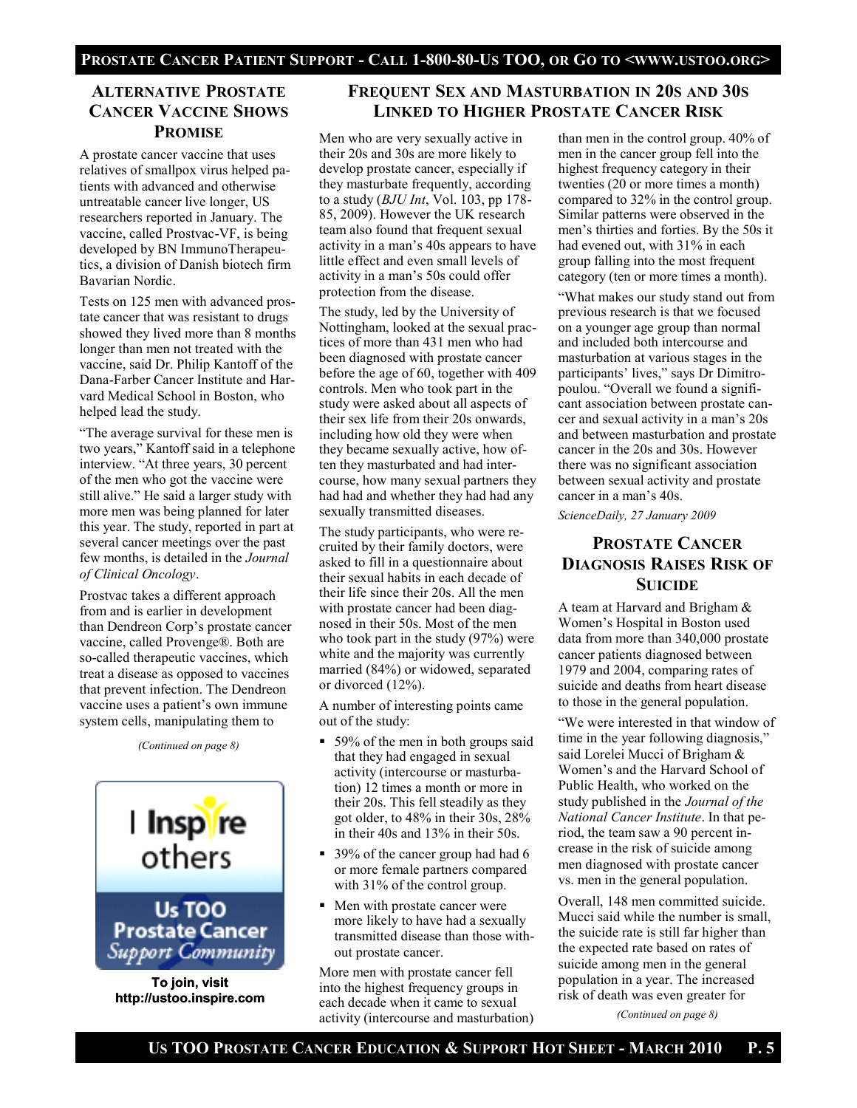## **ALTERNATIVE PROSTATE CANCER VACCINE SHOWS PROMISE**

A prostate cancer vaccine that uses relatives of smallpox virus helped patients with advanced and otherwise untreatable cancer live longer, US researchers reported in January. The vaccine, called Prostvac-VF, is being developed by BN ImmunoTherapeutics, a division of Danish biotech firm Bavarian Nordic.

Tests on 125 men with advanced prostate cancer that was resistant to drugs showed they lived more than 8 months longer than men not treated with the vaccine, said Dr. Philip Kantoff of the Dana-Farber Cancer Institute and Harvard Medical School in Boston, who helped lead the study.

"The average survival for these men is two years," Kantoff said in a telephone interview. "At three years, 30 percent of the men who got the vaccine were still alive." He said a larger study with more men was being planned for later this year. The study, reported in part at several cancer meetings over the past few months, is detailed in the *Journal of Clinical Oncology*.

Prostvac takes a different approach from and is earlier in development than Dendreon Corp"s prostate cancer vaccine, called Provenge®. Both are so-called therapeutic vaccines, which treat a disease as opposed to vaccines that prevent infection. The Dendreon vaccine uses a patient's own immune system cells, manipulating them to

*(Continued on page 8)*



**To join, visit http://ustoo.inspire.com**

## **FREQUENT SEX AND MASTURBATION IN 20S AND 30S LINKED TO HIGHER PROSTATE CANCER RISK**

Men who are very sexually active in their 20s and 30s are more likely to develop prostate cancer, especially if they masturbate frequently, according to a study (*BJU Int*, Vol. 103, pp 178- 85, 2009). However the UK research team also found that frequent sexual activity in a man"s 40s appears to have little effect and even small levels of activity in a man"s 50s could offer protection from the disease.

The study, led by the University of Nottingham, looked at the sexual practices of more than 431 men who had been diagnosed with prostate cancer before the age of 60, together with 409 controls. Men who took part in the study were asked about all aspects of their sex life from their 20s onwards, including how old they were when they became sexually active, how often they masturbated and had intercourse, how many sexual partners they had had and whether they had had any sexually transmitted diseases.

The study participants, who were recruited by their family doctors, were asked to fill in a questionnaire about their sexual habits in each decade of their life since their 20s. All the men with prostate cancer had been diagnosed in their 50s. Most of the men who took part in the study (97%) were white and the majority was currently married (84%) or widowed, separated or divorced (12%).

A number of interesting points came out of the study:

- 59% of the men in both groups said that they had engaged in sexual activity (intercourse or masturbation) 12 times a month or more in their 20s. This fell steadily as they got older, to 48% in their 30s, 28% in their 40s and 13% in their 50s.
- 39% of the cancer group had had 6 or more female partners compared with 31% of the control group.
- Men with prostate cancer were more likely to have had a sexually transmitted disease than those without prostate cancer.

More men with prostate cancer fell into the highest frequency groups in each decade when it came to sexual activity (intercourse and masturbation)

than men in the control group. 40% of men in the cancer group fell into the highest frequency category in their twenties (20 or more times a month) compared to 32% in the control group. Similar patterns were observed in the men"s thirties and forties. By the 50s it had evened out, with  $31\%$  in each group falling into the most frequent category (ten or more times a month).

"What makes our study stand out from previous research is that we focused on a younger age group than normal and included both intercourse and masturbation at various stages in the participants" lives," says Dr Dimitropoulou. "Overall we found a significant association between prostate cancer and sexual activity in a man"s 20s and between masturbation and prostate cancer in the 20s and 30s. However there was no significant association between sexual activity and prostate cancer in a man"s 40s.

*ScienceDaily, 27 January 2009*

## **PROSTATE CANCER DIAGNOSIS RAISES RISK OF SUICIDE**

A team at Harvard and Brigham & Women"s Hospital in Boston used data from more than 340,000 prostate cancer patients diagnosed between 1979 and 2004, comparing rates of suicide and deaths from heart disease to those in the general population.

"We were interested in that window of time in the year following diagnosis," said Lorelei Mucci of Brigham & Women"s and the Harvard School of Public Health, who worked on the study published in the *Journal of the National Cancer Institute*. In that period, the team saw a 90 percent increase in the risk of suicide among men diagnosed with prostate cancer vs. men in the general population.

Overall, 148 men committed suicide. Mucci said while the number is small, the suicide rate is still far higher than the expected rate based on rates of suicide among men in the general population in a year. The increased risk of death was even greater for

*(Continued on page 8)*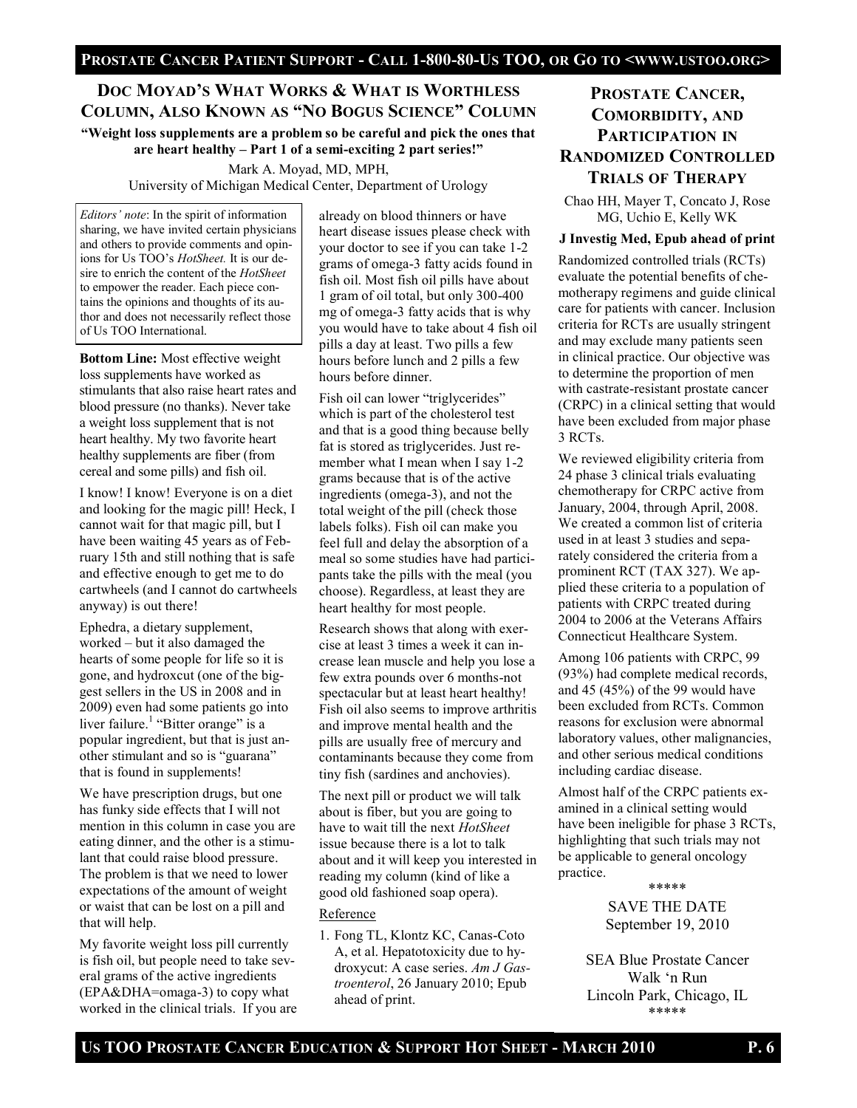## **DOC MOYAD'S WHAT WORKS & WHAT IS WORTHLESS COLUMN, ALSO KNOWN AS ―NO BOGUS SCIENCE‖ COLUMN**

**―Weight loss supplements are a problem so be careful and pick the ones that are heart healthy – Part 1 of a semi-exciting 2 part series!‖**

> Mark A. Moyad, MD, MPH, University of Michigan Medical Center, Department of Urology

*Editors' note*: In the spirit of information sharing, we have invited certain physicians and others to provide comments and opinions for Us TOO"s *HotSheet.* It is our desire to enrich the content of the *HotSheet*  to empower the reader. Each piece contains the opinions and thoughts of its author and does not necessarily reflect those of Us TOO International.

**Bottom Line:** Most effective weight loss supplements have worked as stimulants that also raise heart rates and blood pressure (no thanks). Never take a weight loss supplement that is not heart healthy. My two favorite heart healthy supplements are fiber (from cereal and some pills) and fish oil.

I know! I know! Everyone is on a diet and looking for the magic pill! Heck, I cannot wait for that magic pill, but I have been waiting 45 years as of February 15th and still nothing that is safe and effective enough to get me to do cartwheels (and I cannot do cartwheels anyway) is out there!

Ephedra, a dietary supplement, worked – but it also damaged the hearts of some people for life so it is gone, and hydroxcut (one of the biggest sellers in the US in 2008 and in 2009) even had some patients go into liver failure.<sup>1</sup> "Bitter orange" is a popular ingredient, but that is just another stimulant and so is "guarana" that is found in supplements!

We have prescription drugs, but one has funky side effects that I will not mention in this column in case you are eating dinner, and the other is a stimulant that could raise blood pressure. The problem is that we need to lower expectations of the amount of weight or waist that can be lost on a pill and that will help.

My favorite weight loss pill currently is fish oil, but people need to take several grams of the active ingredients (EPA&DHA=omaga-3) to copy what worked in the clinical trials. If you are

already on blood thinners or have heart disease issues please check with your doctor to see if you can take 1-2 grams of omega-3 fatty acids found in fish oil. Most fish oil pills have about 1 gram of oil total, but only 300-400 mg of omega-3 fatty acids that is why you would have to take about 4 fish oil pills a day at least. Two pills a few hours before lunch and 2 pills a few hours before dinner.

Fish oil can lower "triglycerides" which is part of the cholesterol test and that is a good thing because belly fat is stored as triglycerides. Just remember what I mean when I say 1-2 grams because that is of the active ingredients (omega-3), and not the total weight of the pill (check those labels folks). Fish oil can make you feel full and delay the absorption of a meal so some studies have had participants take the pills with the meal (you choose). Regardless, at least they are heart healthy for most people.

Research shows that along with exercise at least 3 times a week it can increase lean muscle and help you lose a few extra pounds over 6 months-not spectacular but at least heart healthy! Fish oil also seems to improve arthritis and improve mental health and the pills are usually free of mercury and contaminants because they come from tiny fish (sardines and anchovies).

The next pill or product we will talk about is fiber, but you are going to have to wait till the next *HotSheet*  issue because there is a lot to talk about and it will keep you interested in reading my column (kind of like a good old fashioned soap opera).

#### Reference

1. Fong TL, Klontz KC, Canas-Coto A, et al. Hepatotoxicity due to hydroxycut: A case series. *Am J Gastroenterol*, 26 January 2010; Epub ahead of print.

## **PROSTATE CANCER, COMORBIDITY, AND PARTICIPATION IN RANDOMIZED CONTROLLED TRIALS OF THERAPY**

Chao HH, Mayer T, Concato J, Rose MG, Uchio E, Kelly WK

#### **J Investig Med, Epub ahead of print**

Randomized controlled trials (RCTs) evaluate the potential benefits of chemotherapy regimens and guide clinical care for patients with cancer. Inclusion criteria for RCTs are usually stringent and may exclude many patients seen in clinical practice. Our objective was to determine the proportion of men with castrate-resistant prostate cancer (CRPC) in a clinical setting that would have been excluded from major phase 3 RCTs.

We reviewed eligibility criteria from 24 phase 3 clinical trials evaluating chemotherapy for CRPC active from January, 2004, through April, 2008. We created a common list of criteria used in at least 3 studies and separately considered the criteria from a prominent RCT (TAX 327). We applied these criteria to a population of patients with CRPC treated during 2004 to 2006 at the Veterans Affairs Connecticut Healthcare System.

Among 106 patients with CRPC, 99 (93%) had complete medical records, and 45 (45%) of the 99 would have been excluded from RCTs. Common reasons for exclusion were abnormal laboratory values, other malignancies, and other serious medical conditions including cardiac disease.

Almost half of the CRPC patients examined in a clinical setting would have been ineligible for phase 3 RCTs, highlighting that such trials may not be applicable to general oncology practice. \*\*\*\*\*

> SAVE THE DATE September 19, 2010

SEA Blue Prostate Cancer Walk "n Run Lincoln Park, Chicago, IL \*\*\*\*\*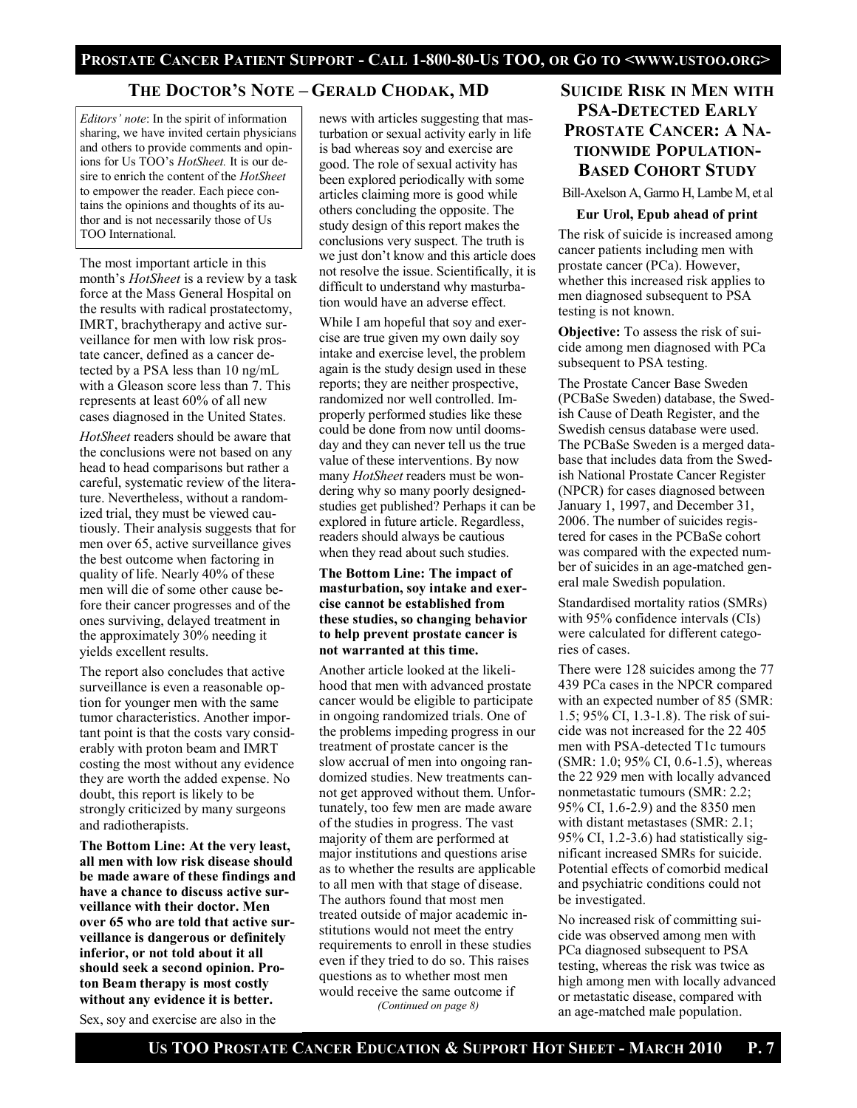## **THE DOCTOR'S NOTE – GERALD CHODAK, MD**

*Editors' note*: In the spirit of information sharing, we have invited certain physicians and others to provide comments and opinions for Us TOO"s *HotSheet.* It is our desire to enrich the content of the *HotSheet*  to empower the reader. Each piece contains the opinions and thoughts of its author and is not necessarily those of Us TOO International.

The most important article in this month"s *HotSheet* is a review by a task force at the Mass General Hospital on the results with radical prostatectomy, IMRT, brachytherapy and active surveillance for men with low risk prostate cancer, defined as a cancer detected by a PSA less than 10 ng/mL with a Gleason score less than 7. This represents at least 60% of all new cases diagnosed in the United States.

*HotSheet* readers should be aware that the conclusions were not based on any head to head comparisons but rather a careful, systematic review of the literature. Nevertheless, without a randomized trial, they must be viewed cautiously. Their analysis suggests that for men over 65, active surveillance gives the best outcome when factoring in quality of life. Nearly 40% of these men will die of some other cause before their cancer progresses and of the ones surviving, delayed treatment in the approximately 30% needing it yields excellent results.

The report also concludes that active surveillance is even a reasonable option for younger men with the same tumor characteristics. Another important point is that the costs vary considerably with proton beam and IMRT costing the most without any evidence they are worth the added expense. No doubt, this report is likely to be strongly criticized by many surgeons and radiotherapists.

**The Bottom Line: At the very least, all men with low risk disease should be made aware of these findings and have a chance to discuss active surveillance with their doctor. Men over 65 who are told that active surveillance is dangerous or definitely inferior, or not told about it all should seek a second opinion. Proton Beam therapy is most costly without any evidence it is better.**

Sex, soy and exercise are also in the

news with articles suggesting that masturbation or sexual activity early in life is bad whereas soy and exercise are good. The role of sexual activity has been explored periodically with some articles claiming more is good while others concluding the opposite. The study design of this report makes the conclusions very suspect. The truth is we just don"t know and this article does not resolve the issue. Scientifically, it is difficult to understand why masturbation would have an adverse effect.

While I am hopeful that soy and exercise are true given my own daily soy intake and exercise level, the problem again is the study design used in these reports; they are neither prospective, randomized nor well controlled. Improperly performed studies like these could be done from now until doomsday and they can never tell us the true value of these interventions. By now many *HotSheet* readers must be wondering why so many poorly designedstudies get published? Perhaps it can be explored in future article. Regardless, readers should always be cautious when they read about such studies.

#### **The Bottom Line: The impact of masturbation, soy intake and exercise cannot be established from these studies, so changing behavior to help prevent prostate cancer is not warranted at this time.**

Another article looked at the likelihood that men with advanced prostate cancer would be eligible to participate in ongoing randomized trials. One of the problems impeding progress in our treatment of prostate cancer is the slow accrual of men into ongoing randomized studies. New treatments cannot get approved without them. Unfortunately, too few men are made aware of the studies in progress. The vast majority of them are performed at major institutions and questions arise as to whether the results are applicable to all men with that stage of disease. The authors found that most men treated outside of major academic institutions would not meet the entry requirements to enroll in these studies even if they tried to do so. This raises questions as to whether most men would receive the same outcome if *(Continued on page 8)*

## **SUICIDE RISK IN MEN WITH PSA-DETECTED EARLY PROSTATE CANCER: A NA-TIONWIDE POPULATION-BASED COHORT STUDY**

Bill-Axelson A, Garmo H, Lambe M, et al

#### **Eur Urol, Epub ahead of print**

The risk of suicide is increased among cancer patients including men with prostate cancer (PCa). However, whether this increased risk applies to men diagnosed subsequent to PSA testing is not known.

**Objective:** To assess the risk of suicide among men diagnosed with PCa subsequent to PSA testing.

The Prostate Cancer Base Sweden (PCBaSe Sweden) database, the Swedish Cause of Death Register, and the Swedish census database were used. The PCBaSe Sweden is a merged database that includes data from the Swedish National Prostate Cancer Register (NPCR) for cases diagnosed between January 1, 1997, and December 31, 2006. The number of suicides registered for cases in the PCBaSe cohort was compared with the expected number of suicides in an age-matched general male Swedish population.

Standardised mortality ratios (SMRs) with 95% confidence intervals (CIs) were calculated for different categories of cases.

There were 128 suicides among the 77 439 PCa cases in the NPCR compared with an expected number of 85 (SMR: 1.5; 95% CI, 1.3-1.8). The risk of suicide was not increased for the 22 405 men with PSA-detected T1c tumours (SMR: 1.0; 95% CI, 0.6-1.5), whereas the 22 929 men with locally advanced nonmetastatic tumours (SMR: 2.2; 95% CI, 1.6-2.9) and the 8350 men with distant metastases (SMR: 2.1; 95% CI, 1.2-3.6) had statistically significant increased SMRs for suicide. Potential effects of comorbid medical and psychiatric conditions could not be investigated.

No increased risk of committing suicide was observed among men with PCa diagnosed subsequent to PSA testing, whereas the risk was twice as high among men with locally advanced or metastatic disease, compared with an age-matched male population.